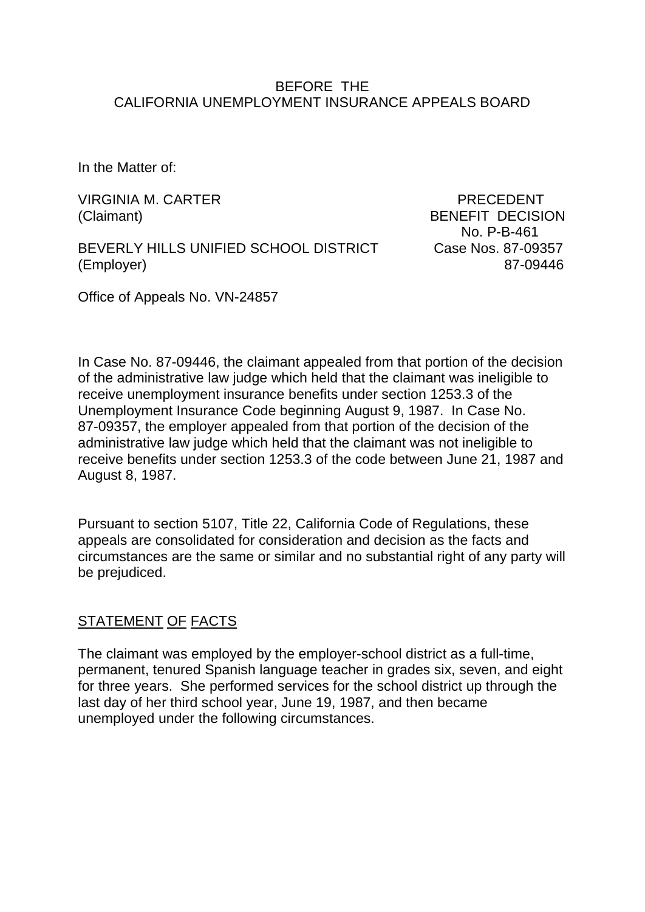### BEFORE THE CALIFORNIA UNEMPLOYMENT INSURANCE APPEALS BOARD

In the Matter of:

VIRGINIA M. CARTER PRECEDENT (Claimant) BENEFIT DECISION

BEVERLY HILLS UNIFIED SCHOOL DISTRICT Case Nos. 87-09357 (Employer) 87-09446

No. P-B-461

Office of Appeals No. VN-24857

In Case No. 87-09446, the claimant appealed from that portion of the decision of the administrative law judge which held that the claimant was ineligible to receive unemployment insurance benefits under section 1253.3 of the Unemployment Insurance Code beginning August 9, 1987. In Case No. 87-09357, the employer appealed from that portion of the decision of the administrative law judge which held that the claimant was not ineligible to receive benefits under section 1253.3 of the code between June 21, 1987 and August 8, 1987.

Pursuant to section 5107, Title 22, California Code of Regulations, these appeals are consolidated for consideration and decision as the facts and circumstances are the same or similar and no substantial right of any party will be prejudiced.

## STATEMENT OF FACTS

The claimant was employed by the employer-school district as a full-time, permanent, tenured Spanish language teacher in grades six, seven, and eight for three years. She performed services for the school district up through the last day of her third school year, June 19, 1987, and then became unemployed under the following circumstances.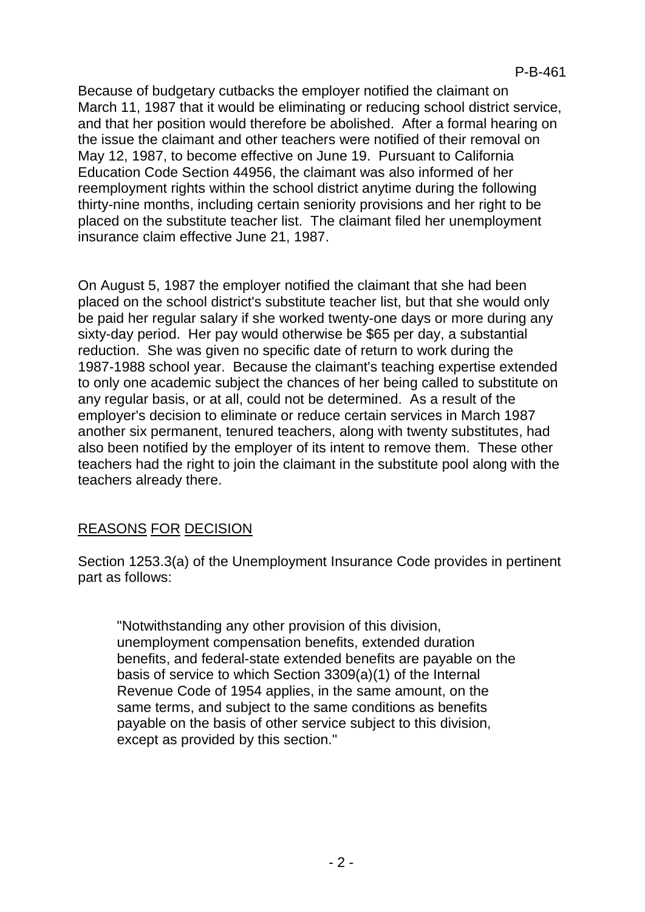Because of budgetary cutbacks the employer notified the claimant on March 11, 1987 that it would be eliminating or reducing school district service, and that her position would therefore be abolished. After a formal hearing on the issue the claimant and other teachers were notified of their removal on May 12, 1987, to become effective on June 19. Pursuant to California Education Code Section 44956, the claimant was also informed of her reemployment rights within the school district anytime during the following thirty-nine months, including certain seniority provisions and her right to be placed on the substitute teacher list. The claimant filed her unemployment insurance claim effective June 21, 1987.

On August 5, 1987 the employer notified the claimant that she had been placed on the school district's substitute teacher list, but that she would only be paid her regular salary if she worked twenty-one days or more during any sixty-day period. Her pay would otherwise be \$65 per day, a substantial reduction. She was given no specific date of return to work during the 1987-1988 school year. Because the claimant's teaching expertise extended to only one academic subject the chances of her being called to substitute on any regular basis, or at all, could not be determined. As a result of the employer's decision to eliminate or reduce certain services in March 1987 another six permanent, tenured teachers, along with twenty substitutes, had also been notified by the employer of its intent to remove them. These other teachers had the right to join the claimant in the substitute pool along with the teachers already there.

# REASONS FOR DECISION

Section 1253.3(a) of the Unemployment Insurance Code provides in pertinent part as follows:

"Notwithstanding any other provision of this division, unemployment compensation benefits, extended duration benefits, and federal-state extended benefits are payable on the basis of service to which Section 3309(a)(1) of the Internal Revenue Code of 1954 applies, in the same amount, on the same terms, and subject to the same conditions as benefits payable on the basis of other service subject to this division, except as provided by this section."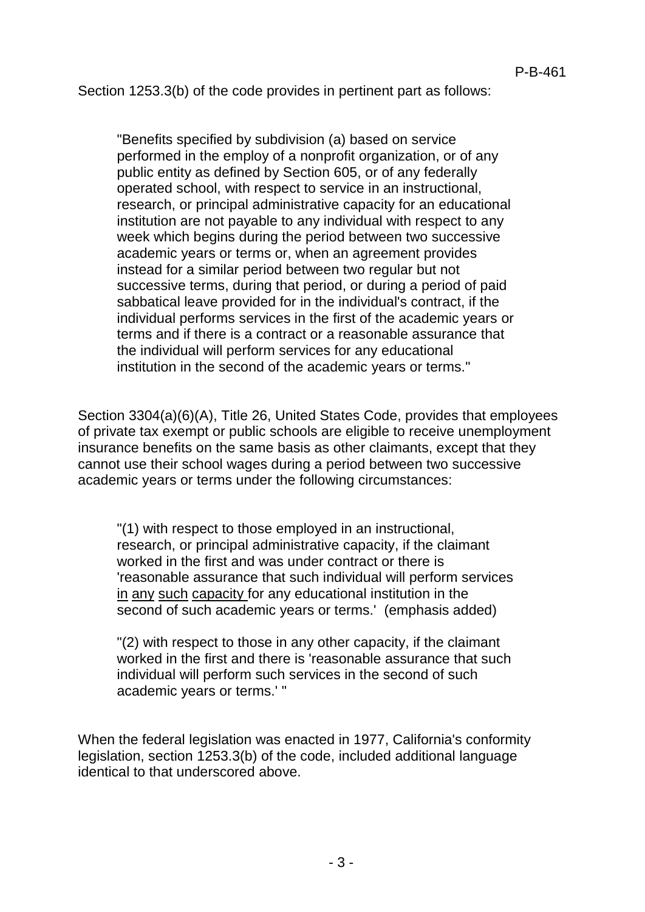Section 1253.3(b) of the code provides in pertinent part as follows:

"Benefits specified by subdivision (a) based on service performed in the employ of a nonprofit organization, or of any public entity as defined by Section 605, or of any federally operated school, with respect to service in an instructional, research, or principal administrative capacity for an educational institution are not payable to any individual with respect to any week which begins during the period between two successive academic years or terms or, when an agreement provides instead for a similar period between two regular but not successive terms, during that period, or during a period of paid sabbatical leave provided for in the individual's contract, if the individual performs services in the first of the academic years or terms and if there is a contract or a reasonable assurance that the individual will perform services for any educational institution in the second of the academic years or terms."

Section 3304(a)(6)(A), Title 26, United States Code, provides that employees of private tax exempt or public schools are eligible to receive unemployment insurance benefits on the same basis as other claimants, except that they cannot use their school wages during a period between two successive academic years or terms under the following circumstances:

"(1) with respect to those employed in an instructional, research, or principal administrative capacity, if the claimant worked in the first and was under contract or there is 'reasonable assurance that such individual will perform services in any such capacity for any educational institution in the second of such academic years or terms.' (emphasis added)

"(2) with respect to those in any other capacity, if the claimant worked in the first and there is 'reasonable assurance that such individual will perform such services in the second of such academic years or terms.' "

When the federal legislation was enacted in 1977, California's conformity legislation, section 1253.3(b) of the code, included additional language identical to that underscored above.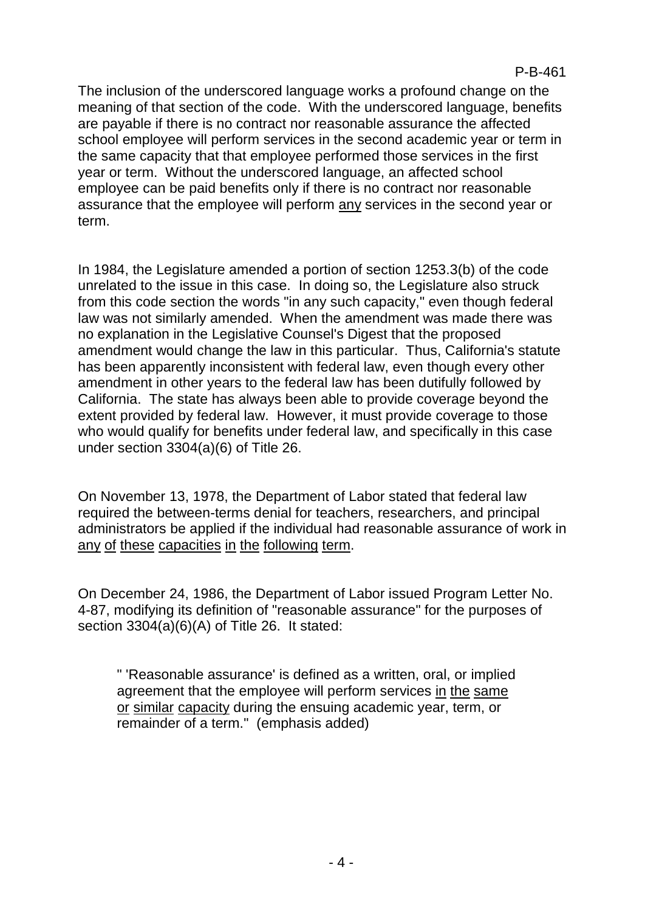The inclusion of the underscored language works a profound change on the meaning of that section of the code. With the underscored language, benefits are payable if there is no contract nor reasonable assurance the affected school employee will perform services in the second academic year or term in the same capacity that that employee performed those services in the first year or term. Without the underscored language, an affected school employee can be paid benefits only if there is no contract nor reasonable assurance that the employee will perform any services in the second year or term.

In 1984, the Legislature amended a portion of section 1253.3(b) of the code unrelated to the issue in this case. In doing so, the Legislature also struck from this code section the words "in any such capacity," even though federal law was not similarly amended. When the amendment was made there was no explanation in the Legislative Counsel's Digest that the proposed amendment would change the law in this particular. Thus, California's statute has been apparently inconsistent with federal law, even though every other amendment in other years to the federal law has been dutifully followed by California. The state has always been able to provide coverage beyond the extent provided by federal law. However, it must provide coverage to those who would qualify for benefits under federal law, and specifically in this case under section 3304(a)(6) of Title 26.

On November 13, 1978, the Department of Labor stated that federal law required the between-terms denial for teachers, researchers, and principal administrators be applied if the individual had reasonable assurance of work in any of these capacities in the following term.

On December 24, 1986, the Department of Labor issued Program Letter No. 4-87, modifying its definition of "reasonable assurance" for the purposes of section 3304(a)(6)(A) of Title 26. It stated:

" 'Reasonable assurance' is defined as a written, oral, or implied agreement that the employee will perform services in the same or similar capacity during the ensuing academic year, term, or remainder of a term." (emphasis added)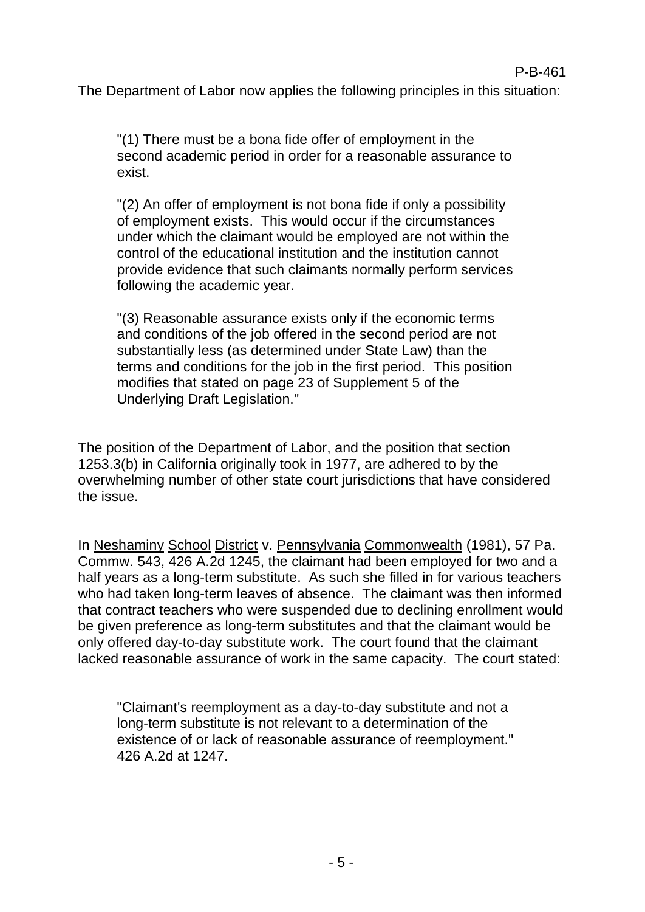The Department of Labor now applies the following principles in this situation:

"(1) There must be a bona fide offer of employment in the second academic period in order for a reasonable assurance to exist.

"(2) An offer of employment is not bona fide if only a possibility of employment exists. This would occur if the circumstances under which the claimant would be employed are not within the control of the educational institution and the institution cannot provide evidence that such claimants normally perform services following the academic year.

"(3) Reasonable assurance exists only if the economic terms and conditions of the job offered in the second period are not substantially less (as determined under State Law) than the terms and conditions for the job in the first period. This position modifies that stated on page 23 of Supplement 5 of the Underlying Draft Legislation."

The position of the Department of Labor, and the position that section 1253.3(b) in California originally took in 1977, are adhered to by the overwhelming number of other state court jurisdictions that have considered the issue.

In Neshaminy School District v. Pennsylvania Commonwealth (1981), 57 Pa. Commw. 543, 426 A.2d 1245, the claimant had been employed for two and a half years as a long-term substitute. As such she filled in for various teachers who had taken long-term leaves of absence. The claimant was then informed that contract teachers who were suspended due to declining enrollment would be given preference as long-term substitutes and that the claimant would be only offered day-to-day substitute work. The court found that the claimant lacked reasonable assurance of work in the same capacity. The court stated:

"Claimant's reemployment as a day-to-day substitute and not a long-term substitute is not relevant to a determination of the existence of or lack of reasonable assurance of reemployment." 426 A.2d at 1247.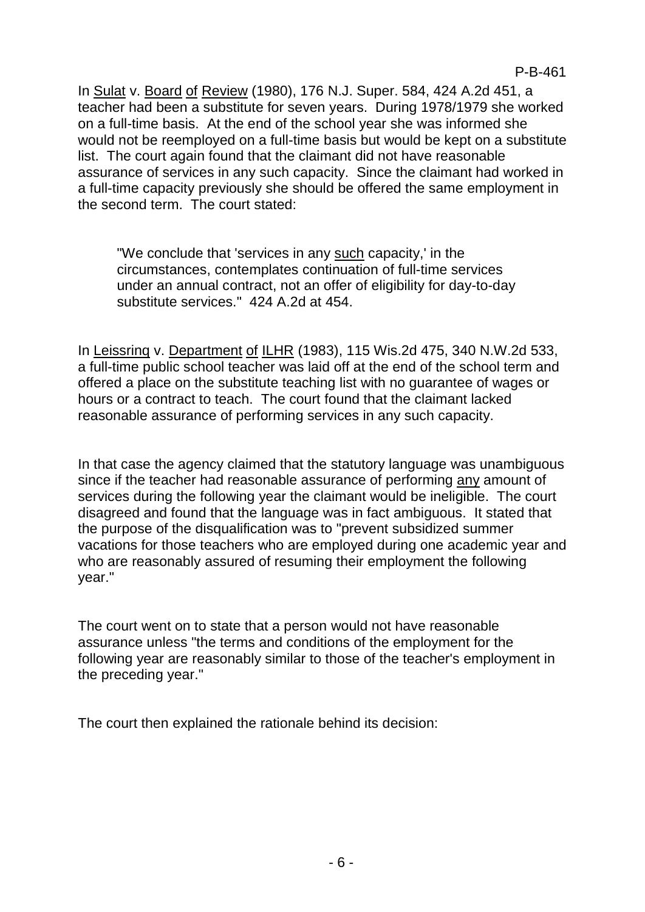In Sulat v. Board of Review (1980), 176 N.J. Super. 584, 424 A.2d 451, a teacher had been a substitute for seven years. During 1978/1979 she worked on a full-time basis. At the end of the school year she was informed she would not be reemployed on a full-time basis but would be kept on a substitute list. The court again found that the claimant did not have reasonable assurance of services in any such capacity. Since the claimant had worked in a full-time capacity previously she should be offered the same employment in the second term. The court stated:

"We conclude that 'services in any such capacity,' in the circumstances, contemplates continuation of full-time services under an annual contract, not an offer of eligibility for day-to-day substitute services." 424 A.2d at 454.

In Leissrinq v. Department of ILHR (1983), 115 Wis.2d 475, 340 N.W.2d 533, a full-time public school teacher was laid off at the end of the school term and offered a place on the substitute teaching list with no guarantee of wages or hours or a contract to teach. The court found that the claimant lacked reasonable assurance of performing services in any such capacity.

In that case the agency claimed that the statutory language was unambiguous since if the teacher had reasonable assurance of performing any amount of services during the following year the claimant would be ineligible. The court disagreed and found that the language was in fact ambiguous. It stated that the purpose of the disqualification was to "prevent subsidized summer vacations for those teachers who are employed during one academic year and who are reasonably assured of resuming their employment the following year."

The court went on to state that a person would not have reasonable assurance unless "the terms and conditions of the employment for the following year are reasonably similar to those of the teacher's employment in the preceding year."

The court then explained the rationale behind its decision: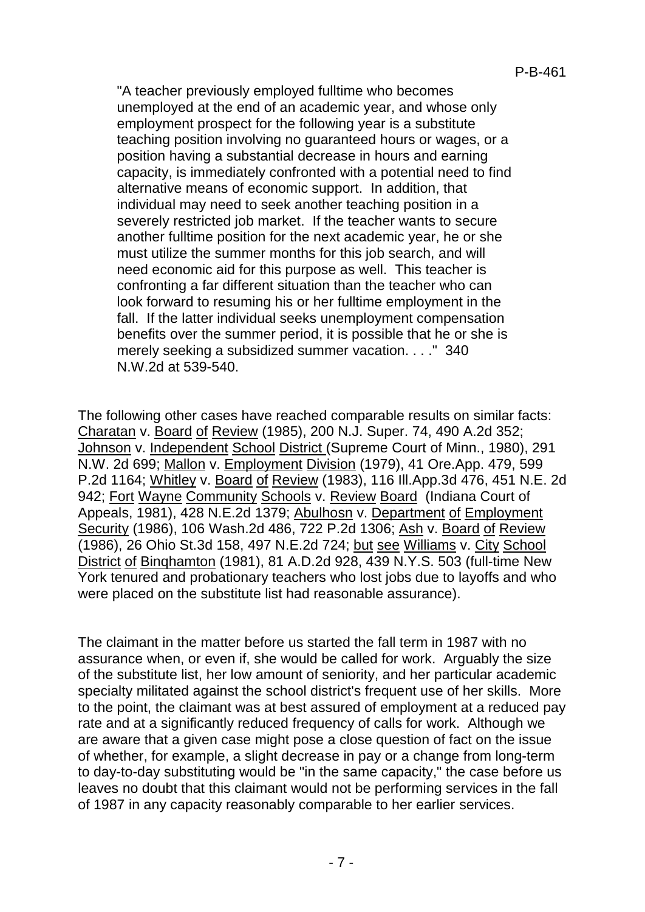"A teacher previously employed fulltime who becomes unemployed at the end of an academic year, and whose only employment prospect for the following year is a substitute teaching position involving no guaranteed hours or wages, or a position having a substantial decrease in hours and earning capacity, is immediately confronted with a potential need to find alternative means of economic support. In addition, that individual may need to seek another teaching position in a severely restricted job market. If the teacher wants to secure another fulltime position for the next academic year, he or she must utilize the summer months for this job search, and will need economic aid for this purpose as well. This teacher is confronting a far different situation than the teacher who can look forward to resuming his or her fulltime employment in the fall. If the latter individual seeks unemployment compensation benefits over the summer period, it is possible that he or she is merely seeking a subsidized summer vacation. . . ." 340 N.W.2d at 539-540.

The following other cases have reached comparable results on similar facts: Charatan v. Board of Review (1985), 200 N.J. Super. 74, 490 A.2d 352; Johnson v. Independent School District (Supreme Court of Minn., 1980), 291 N.W. 2d 699; Mallon v. Employment Division (1979), 41 Ore.App. 479, 599 P.2d 1164; Whitley v. Board of Review (1983), 116 Ill.App.3d 476, 451 N.E. 2d 942; Fort Wayne Community Schools v. Review Board (Indiana Court of Appeals, 1981), 428 N.E.2d 1379; Abulhosn v. Department of Employment Security (1986), 106 Wash.2d 486, 722 P.2d 1306; Ash v. Board of Review (1986), 26 Ohio St.3d 158, 497 N.E.2d 724; but see Williams v. City School District of Binqhamton (1981), 81 A.D.2d 928, 439 N.Y.S. 503 (full-time New York tenured and probationary teachers who lost jobs due to layoffs and who were placed on the substitute list had reasonable assurance).

The claimant in the matter before us started the fall term in 1987 with no assurance when, or even if, she would be called for work. Arguably the size of the substitute list, her low amount of seniority, and her particular academic specialty militated against the school district's frequent use of her skills. More to the point, the claimant was at best assured of employment at a reduced pay rate and at a significantly reduced frequency of calls for work. Although we are aware that a given case might pose a close question of fact on the issue of whether, for example, a slight decrease in pay or a change from long-term to day-to-day substituting would be "in the same capacity," the case before us leaves no doubt that this claimant would not be performing services in the fall of 1987 in any capacity reasonably comparable to her earlier services.